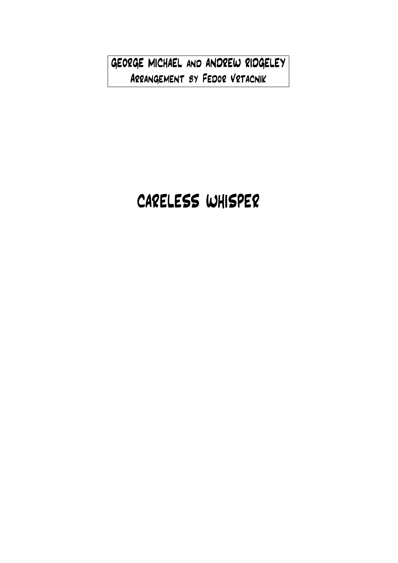GEORGE MICHAEL and ANDREW RIDGELEY Arrangement by Fedor Vrtacnik

## CARELESS WHISPER